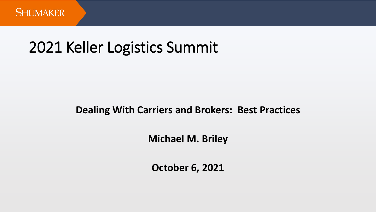

# 2021 Keller Logistics Summit

### **Dealing With Carriers and Brokers: Best Practices**

**Michael M. Briley**

**October 6, 2021**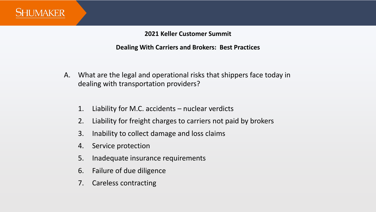

- A. What are the legal and operational risks that shippers face today in dealing with transportation providers?
	- 1. Liability for M.C. accidents nuclear verdicts
	- 2. Liability for freight charges to carriers not paid by brokers
	- 3. Inability to collect damage and loss claims
	- 4. Service protection
	- 5. Inadequate insurance requirements
	- 6. Failure of due diligence
	- 7. Careless contracting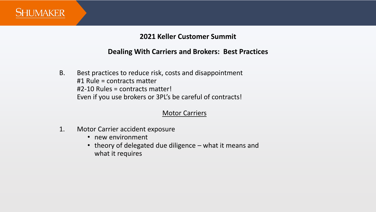

#### **Dealing With Carriers and Brokers: Best Practices**

B. Best practices to reduce risk, costs and disappointment #1 Rule = contracts matter #2-10 Rules = contracts matter! Even if you use brokers or 3PL's be careful of contracts!

#### Motor Carriers

- 1. Motor Carrier accident exposure
	- new environment
	- theory of delegated due diligence what it means and what it requires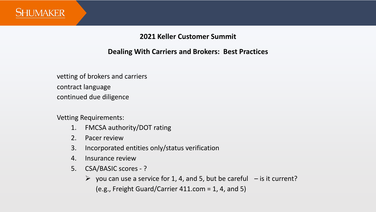

#### **Dealing With Carriers and Brokers: Best Practices**

vetting of brokers and carriers contract language continued due diligence

Vetting Requirements:

- 1. FMCSA authority/DOT rating
- 2. Pacer review
- 3. Incorporated entities only/status verification
- 4. Insurance review
- 5. CSA/BASIC scores ?
	- $\triangleright$  you can use a service for 1, 4, and 5, but be careful  $-$  is it current? (e.g., Freight Guard/Carrier 411.com = 1, 4, and 5)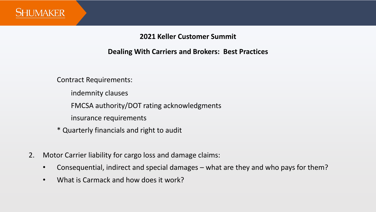

#### **Dealing With Carriers and Brokers: Best Practices**

Contract Requirements:

indemnity clauses

FMCSA authority/DOT rating acknowledgments

insurance requirements

\* Quarterly financials and right to audit

- 2. Motor Carrier liability for cargo loss and damage claims:
	- Consequential, indirect and special damages what are they and who pays for them?
	- What is Carmack and how does it work?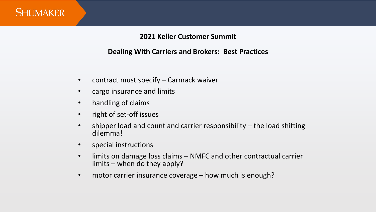

- contract must specify Carmack waiver
- cargo insurance and limits
- handling of claims
- right of set-off issues
- shipper load and count and carrier responsibility the load shifting dilemma!
- special instructions
- limits on damage loss claims NMFC and other contractual carrier limits – when do they apply?
- motor carrier insurance coverage how much is enough?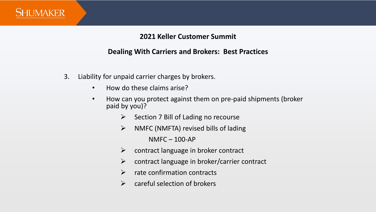

- 3. Liability for unpaid carrier charges by brokers.
	- How do these claims arise?
	- How can you protect against them on pre-paid shipments (broker paid by you)?
		- $\triangleright$  Section 7 Bill of Lading no recourse
		- $\triangleright$  NMFC (NMFTA) revised bills of lading NMFC – 100-AP
		- $\triangleright$  contract language in broker contract
		- $\triangleright$  contract language in broker/carrier contract
		- $\triangleright$  rate confirmation contracts
		- $\triangleright$  careful selection of brokers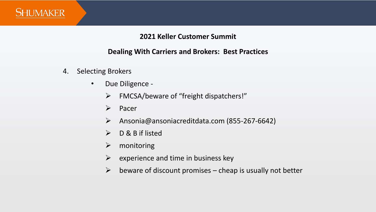

- 4. Selecting Brokers
	- Due Diligence
		- ➢ FMCSA/beware of "freight dispatchers!"
		- ➢ Pacer
		- ➢ Ansonia@ansoniacreditdata.com (855-267-6642)
		- ➢ D & B if listed
		- ➢ monitoring
		- $\triangleright$  experience and time in business key
		- $\triangleright$  beware of discount promises cheap is usually not better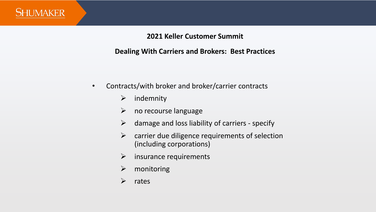

- Contracts/with broker and broker/carrier contracts
	- $\triangleright$  indemnity
	- $\triangleright$  no recourse language
	- $\triangleright$  damage and loss liability of carriers specify
	- $\triangleright$  carrier due diligence requirements of selection (including corporations)
	- $\triangleright$  insurance requirements
	- ➢ monitoring
	- ➢ rates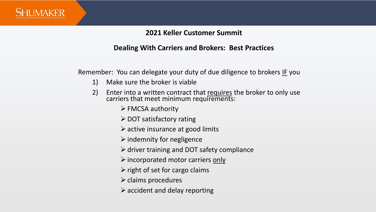

#### **Dealing With Carriers and Brokers: Best Practices**

Remember: You can delegate your duty of due diligence to brokers IF you

- 1) Make sure the broker is viable
- 2) Enter into a written contract that requires the broker to only use carriers that meet minimum requirements:
	- $\triangleright$  FMCSA authority
	- $\triangleright$  DOT satisfactory rating
	- $\triangleright$  active insurance at good limits
	- $\triangleright$  indemnity for negligence
	- $\triangleright$  driver training and DOT safety compliance
	- $\triangleright$  incorporated motor carriers only
	- $\triangleright$  right of set for cargo claims
	- $\triangleright$  claims procedures
	- $\triangleright$  accident and delay reporting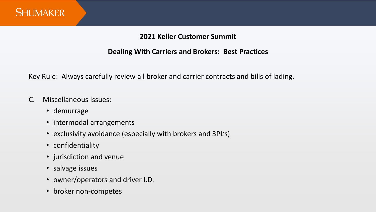

#### **Dealing With Carriers and Brokers: Best Practices**

Key Rule: Always carefully review all broker and carrier contracts and bills of lading.

- C. Miscellaneous Issues:
	- demurrage
	- intermodal arrangements
	- exclusivity avoidance (especially with brokers and 3PL's)
	- confidentiality
	- jurisdiction and venue
	- salvage issues
	- owner/operators and driver I.D.
	- broker non-competes